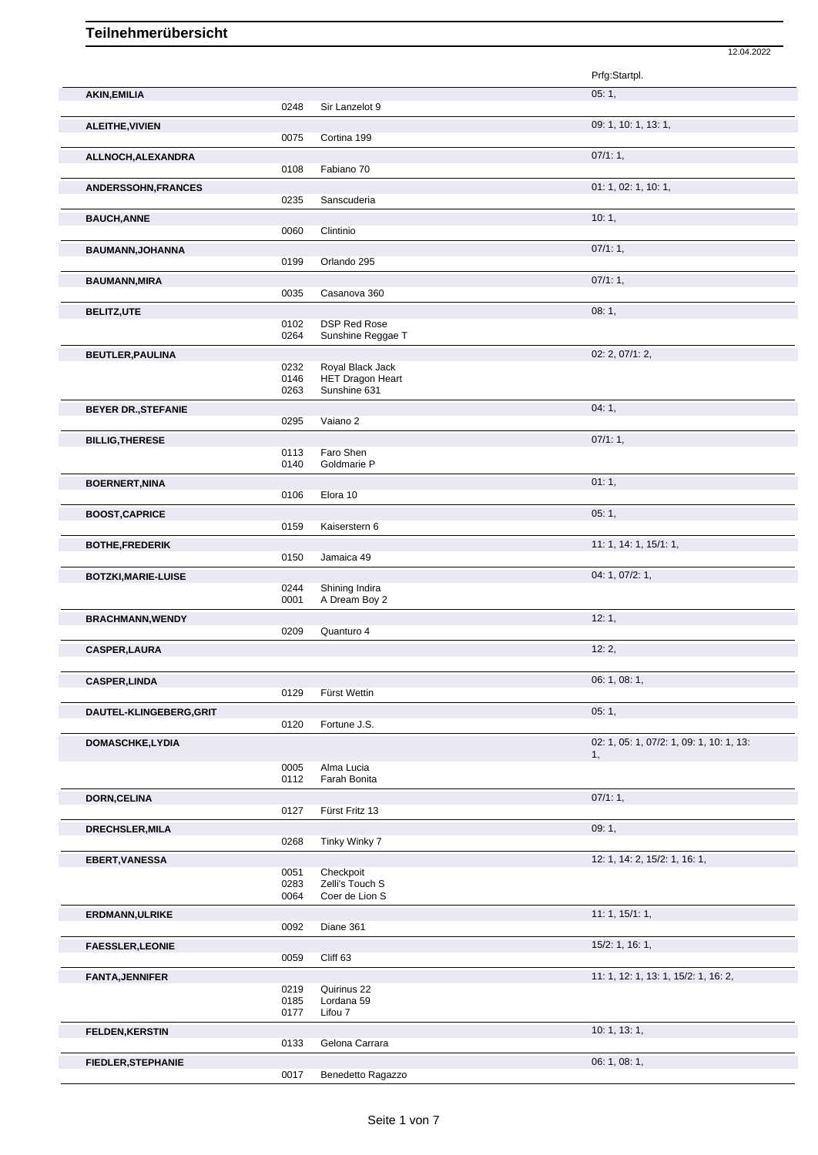## **Teilnehmerübersicht**

|                            |              |                            | Prfg:Startpl.                            |
|----------------------------|--------------|----------------------------|------------------------------------------|
| <b>AKIN, EMILIA</b>        |              |                            | 05:1,                                    |
|                            | 0248         | Sir Lanzelot 9             |                                          |
| ALEITHE, VIVIEN            | 0075         | Cortina 199                | 09: 1, 10: 1, 13: 1,                     |
| ALLNOCH, ALEXANDRA         |              |                            | 07/1:1,                                  |
|                            | 0108         | Fabiano 70                 |                                          |
| ANDERSSOHN, FRANCES        | 0235         | Sanscuderia                | 01: 1, 02: 1, 10: 1,                     |
| <b>BAUCH, ANNE</b>         |              |                            | 10:1,                                    |
|                            | 0060         | Clintinio                  |                                          |
| BAUMANN, JOHANNA           |              |                            | 07/1:1,                                  |
|                            | 0199         | Orlando 295                |                                          |
| <b>BAUMANN, MIRA</b>       | 0035         | Casanova 360               | 07/1:1,                                  |
| <b>BELITZ,UTE</b>          |              |                            | 08:1,                                    |
|                            | 0102         | <b>DSP Red Rose</b>        |                                          |
|                            | 0264         | Sunshine Reggae T          |                                          |
| <b>BEUTLER, PAULINA</b>    | 0232         | Royal Black Jack           | 02: 2, 07/1: 2,                          |
|                            | 0146         | <b>HET Dragon Heart</b>    |                                          |
|                            | 0263         | Sunshine 631               |                                          |
| <b>BEYER DR., STEFANIE</b> | 0295         | Vaiano 2                   | 04:1,                                    |
| <b>BILLIG, THERESE</b>     |              |                            | 07/1:1,                                  |
|                            | 0113         | Faro Shen                  |                                          |
|                            | 0140         | Goldmarie P                |                                          |
| <b>BOERNERT, NINA</b>      | 0106         | Elora 10                   | 01:1,                                    |
| <b>BOOST, CAPRICE</b>      |              |                            | 05:1,                                    |
|                            | 0159         | Kaiserstern 6              |                                          |
| <b>BOTHE, FREDERIK</b>     |              |                            | 11: 1, 14: 1, 15/1: 1,                   |
|                            | 0150         | Jamaica 49                 |                                          |
| <b>BOTZKI, MARIE-LUISE</b> | 0244         | Shining Indira             | 04: 1, 07/2: 1,                          |
|                            | 0001         | A Dream Boy 2              |                                          |
| <b>BRACHMANN, WENDY</b>    | 0209         | Quanturo 4                 | 12:1,                                    |
| <b>CASPER, LAURA</b>       |              |                            | 12:2,                                    |
|                            |              |                            |                                          |
| <b>CASPER, LINDA</b>       |              |                            | 06: 1, 08: 1,                            |
|                            | 0129         | Fürst Wettin               |                                          |
| DAUTEL-KLINGEBERG, GRIT    | 0120         | Fortune J.S.               | 05:1,                                    |
| <b>DOMASCHKE,LYDIA</b>     |              |                            | 02: 1, 05: 1, 07/2: 1, 09: 1, 10: 1, 13: |
|                            |              |                            | 1,                                       |
|                            | 0005<br>0112 | Alma Lucia<br>Farah Bonita |                                          |
| <b>DORN, CELINA</b>        |              |                            | 07/1:1,                                  |
|                            | 0127         | Fürst Fritz 13             |                                          |
| DRECHSLER, MILA            |              |                            | 09:1,                                    |
|                            | 0268         | Tinky Winky 7              |                                          |
| EBERT, VANESSA             | 0051         | Checkpoit                  | 12: 1, 14: 2, 15/2: 1, 16: 1,            |
|                            | 0283         | Zelli's Touch S            |                                          |
|                            | 0064         | Coer de Lion S             |                                          |
| ERDMANN, ULRIKE            | 0092         | Diane 361                  | 11: 1, 15/1: 1,                          |
| <b>FAESSLER, LEONIE</b>    |              |                            | $15/2$ : 1, 16: 1,                       |
|                            | 0059         | Cliff 63                   |                                          |
| <b>FANTA, JENNIFER</b>     |              |                            | 11: 1, 12: 1, 13: 1, 15/2: 1, 16: 2,     |
|                            | 0219<br>0185 | Quirinus 22<br>Lordana 59  |                                          |
|                            | 0177         | Lifou 7                    |                                          |
| <b>FELDEN, KERSTIN</b>     |              |                            | 10: 1, 13: 1,                            |
|                            | 0133         | Gelona Carrara             |                                          |
| FIEDLER, STEPHANIE         | 0017         | Benedetto Ragazzo          | 06: 1, 08: 1,                            |
|                            |              |                            |                                          |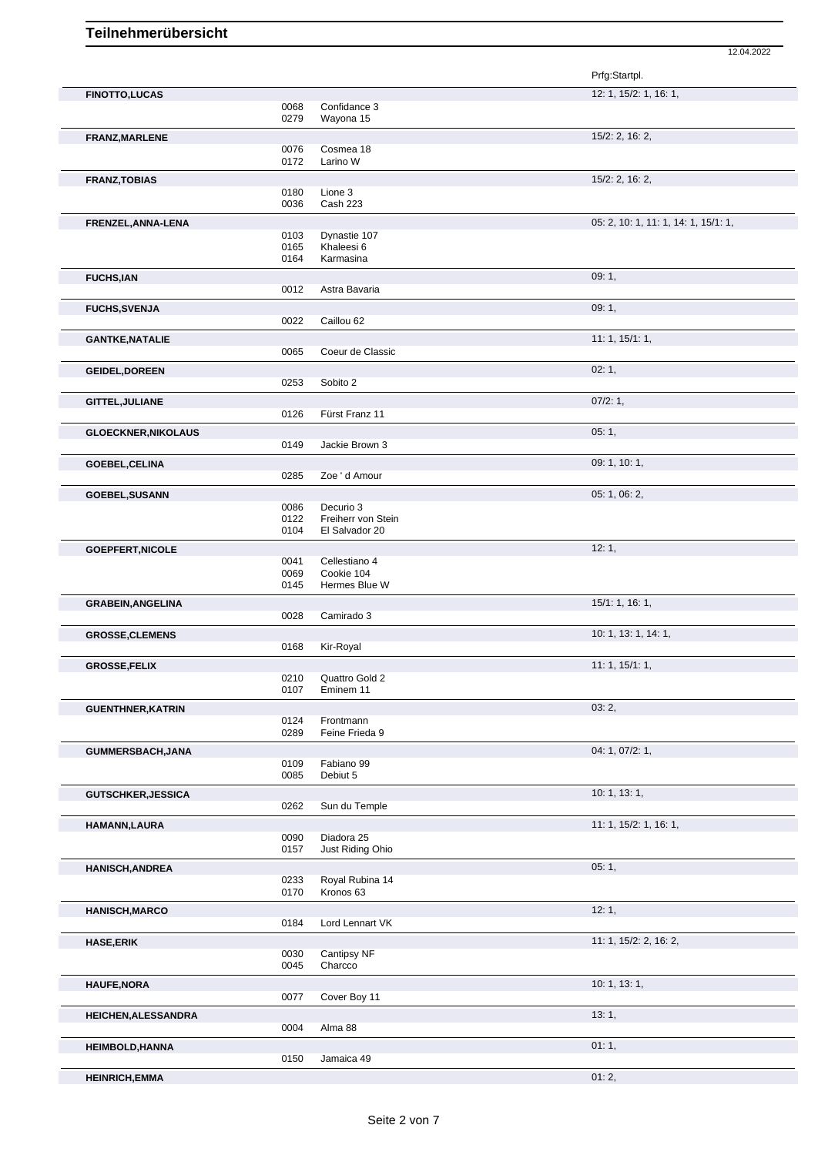|                            |              |                             | Prfg:Startpl.                        |
|----------------------------|--------------|-----------------------------|--------------------------------------|
| <b>FINOTTO,LUCAS</b>       |              |                             | 12: 1, 15/2: 1, 16: 1,               |
|                            | 0068         | Confidance 3                |                                      |
|                            | 0279         | Wayona 15                   |                                      |
| FRANZ, MARLENE             |              |                             | 15/2: 2, 16: 2,                      |
|                            | 0076         | Cosmea 18                   |                                      |
|                            | 0172         | Larino W                    |                                      |
| <b>FRANZ, TOBIAS</b>       |              |                             | 15/2: 2, 16: 2,                      |
|                            | 0180<br>0036 | Lione 3<br>Cash 223         |                                      |
|                            |              |                             |                                      |
| FRENZEL, ANNA-LENA         |              |                             | 05: 2, 10: 1, 11: 1, 14: 1, 15/1: 1, |
|                            | 0103<br>0165 | Dynastie 107<br>Khaleesi 6  |                                      |
|                            | 0164         | Karmasina                   |                                      |
| <b>FUCHS,IAN</b>           |              |                             | 09:1,                                |
|                            | 0012         | Astra Bavaria               |                                      |
|                            |              |                             | 09:1,                                |
| <b>FUCHS, SVENJA</b>       | 0022         | Caillou 62                  |                                      |
|                            |              |                             |                                      |
| <b>GANTKE, NATALIE</b>     | 0065         | Coeur de Classic            | 11: 1, 15/1: 1,                      |
|                            |              |                             |                                      |
| <b>GEIDEL, DOREEN</b>      |              |                             | 02:1,                                |
|                            | 0253         | Sobito 2                    |                                      |
| GITTEL, JULIANE            |              |                             | 07/2:1,                              |
|                            | 0126         | Fürst Franz 11              |                                      |
| <b>GLOECKNER, NIKOLAUS</b> |              |                             | 05:1,                                |
|                            | 0149         | Jackie Brown 3              |                                      |
| GOEBEL, CELINA             |              |                             | 09: 1, 10: 1,                        |
|                            | 0285         | Zoe ' d Amour               |                                      |
| <b>GOEBEL, SUSANN</b>      |              |                             | 05: 1, 06: 2,                        |
|                            | 0086         | Decurio 3                   |                                      |
|                            | 0122         | Freiherr von Stein          |                                      |
|                            | 0104         | El Salvador 20              |                                      |
| <b>GOEPFERT, NICOLE</b>    |              |                             | 12:1,                                |
|                            | 0041         | Cellestiano 4               |                                      |
|                            | 0069<br>0145 | Cookie 104<br>Hermes Blue W |                                      |
|                            |              |                             |                                      |
| <b>GRABEIN, ANGELINA</b>   | 0028         | Camirado 3                  | 15/1: 1, 16: 1,                      |
|                            |              |                             | 10: 1, 13: 1, 14: 1,                 |
| <b>GROSSE, CLEMENS</b>     | 0168         | Kir-Royal                   |                                      |
|                            |              |                             | 11: 1, 15/1: 1,                      |
| <b>GROSSE,FELIX</b>        | 0210         | Quattro Gold 2              |                                      |
|                            | 0107         | Eminem 11                   |                                      |
| <b>GUENTHNER, KATRIN</b>   |              |                             | 03:2,                                |
|                            | 0124         | Frontmann                   |                                      |
|                            | 0289         | Feine Frieda 9              |                                      |
| GUMMERSBACH, JANA          |              |                             | 04: 1, 07/2: 1,                      |
|                            | 0109         | Fabiano 99                  |                                      |
|                            | 0085         | Debiut 5                    |                                      |
| <b>GUTSCHKER, JESSICA</b>  |              |                             | 10: 1, 13: 1,                        |
|                            | 0262         | Sun du Temple               |                                      |
| HAMANN, LAURA              |              |                             | 11: 1, 15/2: 1, 16: 1,               |
|                            | 0090         | Diadora 25                  |                                      |
|                            | 0157         | Just Riding Ohio            |                                      |
| <b>HANISCH, ANDREA</b>     |              |                             | 05:1,                                |
|                            | 0233         | Royal Rubina 14             |                                      |
|                            | 0170         | Kronos 63                   |                                      |
| <b>HANISCH, MARCO</b>      |              |                             | 12:1,                                |
|                            | 0184         | Lord Lennart VK             |                                      |
| <b>HASE, ERIK</b>          |              |                             | 11: 1, 15/2: 2, 16: 2,               |
|                            | 0030         | Cantipsy NF                 |                                      |
|                            | 0045         | Charcco                     |                                      |
| <b>HAUFE, NORA</b>         |              |                             | 10: 1, 13: 1,                        |
|                            | 0077         | Cover Boy 11                |                                      |
| HEICHEN, ALESSANDRA        |              |                             | 13:1,                                |
|                            | 0004         | Alma 88                     |                                      |
| <b>HEIMBOLD, HANNA</b>     |              |                             | 01:1,                                |
|                            | 0150         | Jamaica 49                  |                                      |
| <b>HEINRICH, EMMA</b>      |              |                             | 01:2,                                |
|                            |              |                             |                                      |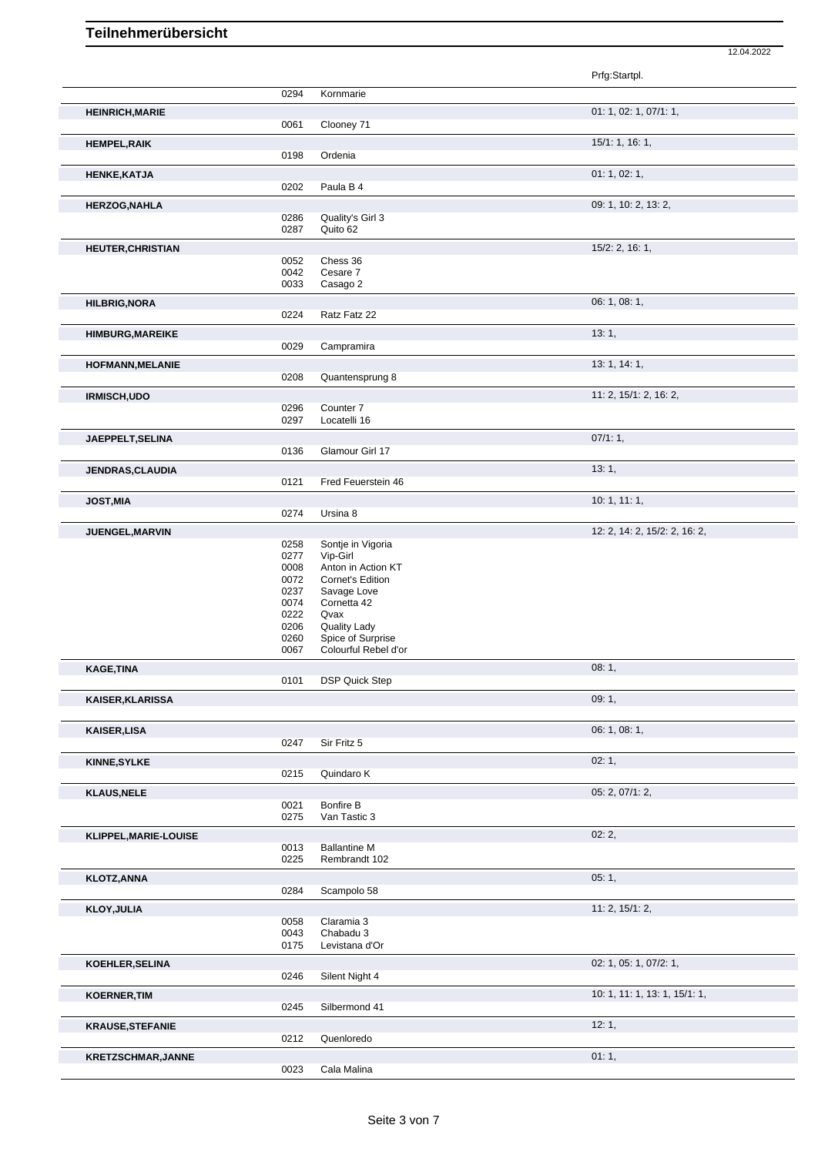|                          |              |                                      | Prfg:Startpl.                 |
|--------------------------|--------------|--------------------------------------|-------------------------------|
|                          | 0294         | Kornmarie                            |                               |
| <b>HEINRICH, MARIE</b>   |              |                                      | 01: 1, 02: 1, 07/1: 1,        |
|                          | 0061         | Clooney 71                           |                               |
|                          |              |                                      | 15/1: 1, 16: 1,               |
| <b>HEMPEL, RAIK</b>      | 0198         | Ordenia                              |                               |
|                          |              |                                      |                               |
| <b>HENKE, KATJA</b>      | 0202         | Paula B 4                            | 01: 1, 02: 1,                 |
|                          |              |                                      |                               |
| <b>HERZOG, NAHLA</b>     |              |                                      | 09: 1, 10: 2, 13: 2,          |
|                          | 0286<br>0287 | Quality's Girl 3<br>Quito 62         |                               |
|                          |              |                                      |                               |
| <b>HEUTER, CHRISTIAN</b> | 0052         | Chess 36                             | 15/2: 2, 16: 1,               |
|                          | 0042         | Cesare 7                             |                               |
|                          | 0033         | Casago 2                             |                               |
| <b>HILBRIG, NORA</b>     |              |                                      | 06: 1, 08: 1,                 |
|                          | 0224         | Ratz Fatz 22                         |                               |
|                          |              |                                      | 13:1,                         |
| <b>HIMBURG, MAREIKE</b>  | 0029         | Campramira                           |                               |
|                          |              |                                      |                               |
| HOFMANN, MELANIE         | 0208         | Quantensprung 8                      | 13: 1, 14: 1,                 |
|                          |              |                                      |                               |
| IRMISCH, UDO             |              |                                      | 11: 2, 15/1: 2, 16: 2,        |
|                          | 0296<br>0297 | Counter <sub>7</sub><br>Locatelli 16 |                               |
|                          |              |                                      |                               |
| JAEPPELT, SELINA         |              |                                      | 07/1:1,                       |
|                          | 0136         | Glamour Girl 17                      |                               |
| <b>JENDRAS, CLAUDIA</b>  |              |                                      | 13:1,                         |
|                          | 0121         | Fred Feuerstein 46                   |                               |
| <b>JOST, MIA</b>         |              |                                      | 10:1, 11:1,                   |
|                          | 0274         | Ursina 8                             |                               |
| JUENGEL, MARVIN          |              |                                      | 12: 2, 14: 2, 15/2: 2, 16: 2, |
|                          | 0258         | Sontje in Vigoria                    |                               |
|                          | 0277<br>0008 | Vip-Girl<br>Anton in Action KT       |                               |
|                          | 0072         | Cornet's Edition                     |                               |
|                          | 0237         | Savage Love                          |                               |
|                          | 0074         | Cornetta 42                          |                               |
|                          | 0222<br>0206 | Qvax<br><b>Quality Lady</b>          |                               |
|                          | 0260         | Spice of Surprise                    |                               |
|                          | 0067         | Colourful Rebel d'or                 |                               |
| <b>KAGE, TINA</b>        |              |                                      | 08:1,                         |
|                          | 0101         | <b>DSP Quick Step</b>                |                               |
| KAISER, KLARISSA         |              |                                      | 09:1,                         |
|                          |              |                                      |                               |
| <b>KAISER, LISA</b>      |              |                                      | 06: 1, 08: 1,                 |
|                          | 0247         | Sir Fritz 5                          |                               |
| <b>KINNE, SYLKE</b>      |              |                                      | 02:1,                         |
|                          | 0215         | Quindaro K                           |                               |
| <b>KLAUS, NELE</b>       |              |                                      | 05: 2, 07/1: 2,               |
|                          | 0021         | Bonfire B                            |                               |
|                          | 0275         | Van Tastic 3                         |                               |
| KLIPPEL, MARIE-LOUISE    |              |                                      | 02:2,                         |
|                          | 0013         | <b>Ballantine M</b>                  |                               |
|                          | 0225         | Rembrandt 102                        |                               |
| <b>KLOTZ, ANNA</b>       |              |                                      | 05:1,                         |
|                          | 0284         | Scampolo 58                          |                               |
| <b>KLOY, JULIA</b>       |              |                                      | 11: 2, 15/1: 2,               |
|                          | 0058         | Claramia 3                           |                               |
|                          | 0043         | Chabadu 3                            |                               |
|                          | 0175         | Levistana d'Or                       |                               |
| KOEHLER, SELINA          |              |                                      | 02: 1, 05: 1, 07/2: 1,        |
|                          | 0246         | Silent Night 4                       |                               |
| <b>KOERNER, TIM</b>      |              |                                      | 10: 1, 11: 1, 13: 1, 15/1: 1, |
|                          | 0245         | Silbermond 41                        |                               |
| <b>KRAUSE, STEFANIE</b>  |              |                                      | 12:1,                         |
|                          | 0212         | Quenloredo                           |                               |
| KRETZSCHMAR, JANNE       |              |                                      | 01:1,                         |
|                          | 0023         | Cala Malina                          |                               |
|                          |              |                                      |                               |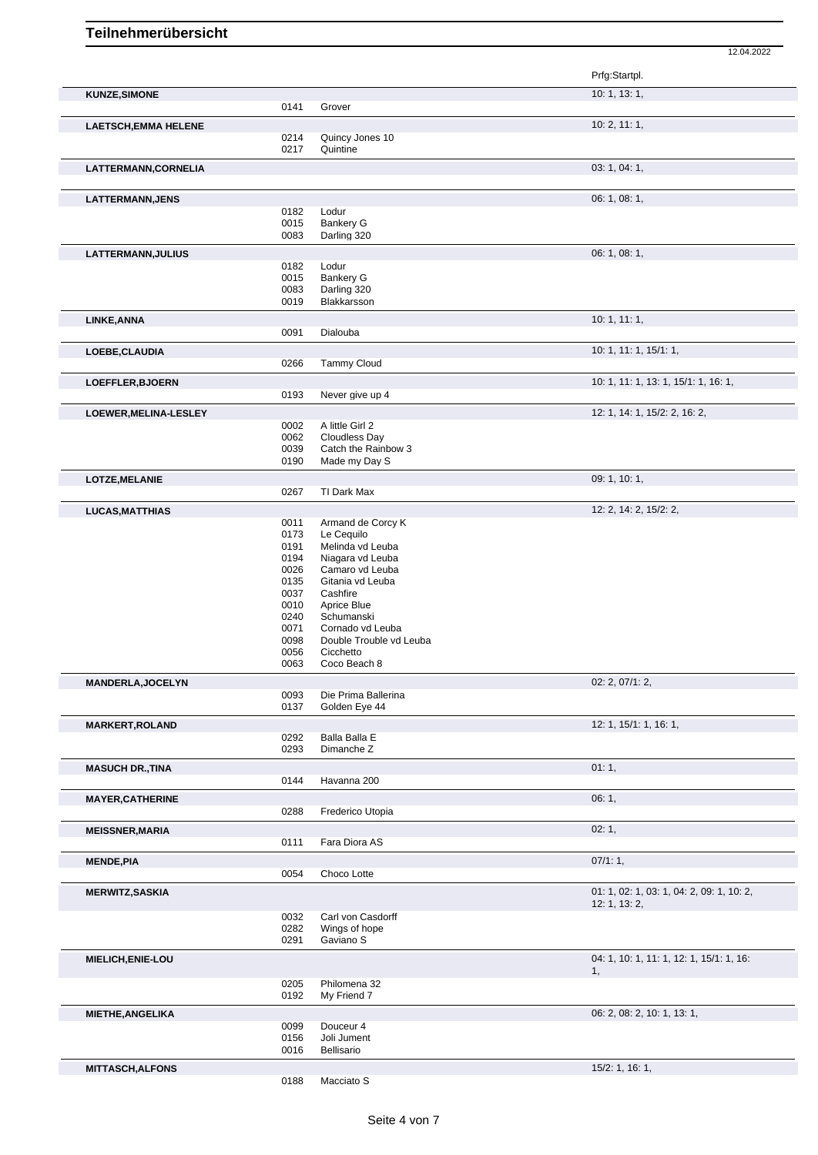|                             |              |                                      | Prfg:Startpl.                                  |
|-----------------------------|--------------|--------------------------------------|------------------------------------------------|
| <b>KUNZE, SIMONE</b>        |              |                                      | 10:1, 13:1,                                    |
|                             | 0141         | Grover                               |                                                |
| <b>LAETSCH, EMMA HELENE</b> | 0214         | Quincy Jones 10                      | 10: 2, 11: 1,                                  |
|                             | 0217         | Quintine                             |                                                |
| LATTERMANN, CORNELIA        |              |                                      | 03: 1, 04: 1,                                  |
|                             |              |                                      |                                                |
| LATTERMANN, JENS            |              |                                      | 06: 1, 08: 1,                                  |
|                             | 0182<br>0015 | Lodur<br>Bankery G                   |                                                |
|                             | 0083         | Darling 320                          |                                                |
| LATTERMANN, JULIUS          |              |                                      | 06: 1, 08: 1,                                  |
|                             | 0182         | Lodur                                |                                                |
|                             | 0015         | <b>Bankery G</b>                     |                                                |
|                             | 0083<br>0019 | Darling 320<br>Blakkarsson           |                                                |
| LINKE, ANNA                 |              |                                      | 10:1, 11:1,                                    |
|                             | 0091         | Dialouba                             |                                                |
| LOEBE, CLAUDIA              |              |                                      | 10: 1, 11: 1, 15/1: 1,                         |
|                             | 0266         | <b>Tammy Cloud</b>                   |                                                |
| LOEFFLER, BJOERN            |              |                                      | 10: 1, 11: 1, 13: 1, 15/1: 1, 16: 1,           |
|                             | 0193         | Never give up 4                      |                                                |
| LOEWER, MELINA-LESLEY       |              |                                      | 12: 1, 14: 1, 15/2: 2, 16: 2,                  |
|                             | 0002<br>0062 | A little Girl 2<br>Cloudless Day     |                                                |
|                             | 0039         | Catch the Rainbow 3                  |                                                |
|                             | 0190         | Made my Day S                        |                                                |
| LOTZE, MELANIE              |              |                                      | 09: 1, 10: 1,                                  |
|                             | 0267         | TI Dark Max                          |                                                |
| <b>LUCAS, MATTHIAS</b>      |              |                                      | 12: 2, 14: 2, 15/2: 2,                         |
|                             | 0011         | Armand de Corcy K                    |                                                |
|                             | 0173<br>0191 | Le Cequilo<br>Melinda vd Leuba       |                                                |
|                             | 0194         | Niagara vd Leuba                     |                                                |
|                             | 0026         | Camaro vd Leuba                      |                                                |
|                             | 0135<br>0037 | Gitania vd Leuba<br>Cashfire         |                                                |
|                             | 0010         | Aprice Blue                          |                                                |
|                             | 0240         | Schumanski                           |                                                |
|                             | 0071         | Cornado vd Leuba                     |                                                |
|                             | 0098<br>0056 | Double Trouble vd Leuba<br>Cicchetto |                                                |
|                             | 0063         | Coco Beach 8                         |                                                |
| <b>MANDERLA, JOCELYN</b>    |              |                                      | 02: 2, 07/1: 2,                                |
|                             | 0093         | Die Prima Ballerina                  |                                                |
|                             | 0137         | Golden Eye 44                        |                                                |
| <b>MARKERT, ROLAND</b>      | 0292         | Balla Balla E                        | 12: 1, 15/1: 1, 16: 1,                         |
|                             | 0293         | Dimanche Z                           |                                                |
| <b>MASUCH DR., TINA</b>     |              |                                      | 01:1,                                          |
|                             | 0144         | Havanna 200                          |                                                |
| <b>MAYER, CATHERINE</b>     |              |                                      | 06:1,                                          |
|                             | 0288         | Frederico Utopia                     |                                                |
| <b>MEISSNER, MARIA</b>      |              |                                      | 02:1,                                          |
|                             | 0111         | Fara Diora AS                        |                                                |
| <b>MENDE, PIA</b>           | 0054         | Choco Lotte                          | 07/1:1,                                        |
|                             |              |                                      | 01: 1, 02: 1, 03: 1, 04: 2, 09: 1, 10: 2,      |
| <b>MERWITZ, SASKIA</b>      |              |                                      | 12: 1, 13: 2,                                  |
|                             | 0032         | Carl von Casdorff                    |                                                |
|                             | 0282         | Wings of hope<br>Gaviano S           |                                                |
|                             | 0291         |                                      |                                                |
| MIELICH, ENIE-LOU           |              |                                      | 04: 1, 10: 1, 11: 1, 12: 1, 15/1: 1, 16:<br>1, |
|                             | 0205         | Philomena 32                         |                                                |
|                             | 0192         | My Friend 7                          |                                                |
| <b>MIETHE, ANGELIKA</b>     |              |                                      | 06: 2, 08: 2, 10: 1, 13: 1,                    |
|                             | 0099         | Douceur 4                            |                                                |
|                             | 0156<br>0016 | Joli Jument<br>Bellisario            |                                                |
|                             |              |                                      | 15/2: 1, 16: 1,                                |
| <b>MITTASCH, ALFONS</b>     | 0188         | Macciato S                           |                                                |
|                             |              |                                      |                                                |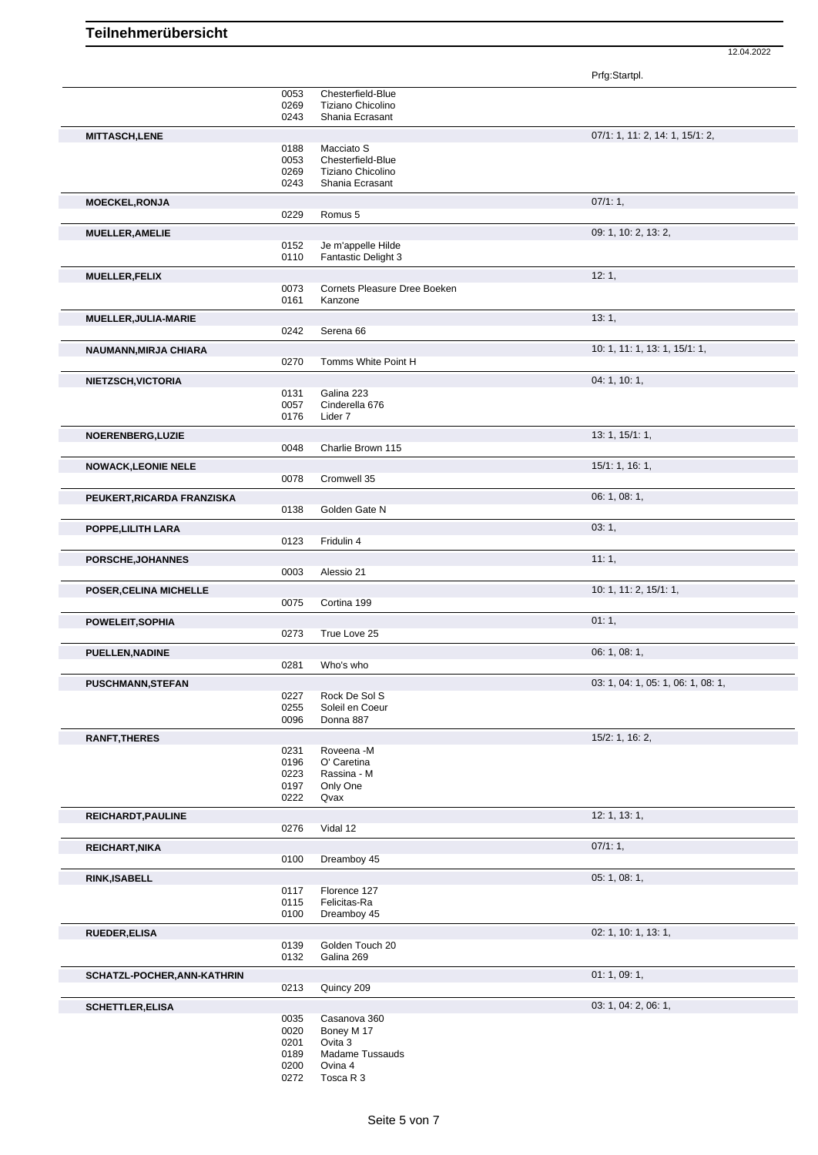|                              |                                                                         | 12.04.2022                      |
|------------------------------|-------------------------------------------------------------------------|---------------------------------|
|                              |                                                                         | Prfg:Startpl.                   |
| 0053<br>0269                 | Chesterfield-Blue<br>Tiziano Chicolino                                  |                                 |
| 0243                         | Shania Ecrasant                                                         |                                 |
| 0188<br>0053<br>0269<br>0243 | Macciato S<br>Chesterfield-Blue<br>Tiziano Chicolino<br>Shania Ecrasant | 07/1: 1, 11: 2, 14: 1, 15/1: 2, |
|                              |                                                                         | 07/1:1,                         |
| 0229                         | Romus 5                                                                 |                                 |
|                              |                                                                         | 09: 1, 10: 2, 13: 2,            |
| 0152<br>0110                 | Je m'appelle Hilde<br>Fantastic Delight 3                               |                                 |
|                              |                                                                         | 12:1,                           |
| 0073<br>0161                 | Cornets Pleasure Dree Boeken<br>Kanzone                                 |                                 |
|                              |                                                                         | 13:1,                           |
| 0242                         | Serena <sub>66</sub>                                                    |                                 |
| 0270                         | Tomms White Point H                                                     | 10: 1, 11: 1, 13: 1, 15/1: 1,   |
|                              |                                                                         | 04: 1, 10: 1,                   |
| 0131<br>0057<br>0176         | Galina 223<br>Cinderella 676<br>Lider 7                                 |                                 |
|                              |                                                                         | 13: 1, 15/1: 1,                 |
| 0048                         | Charlie Brown 115                                                       |                                 |
|                              |                                                                         | 15/1: 1, 16: 1,                 |
| 0078                         | Cromwell 35                                                             |                                 |
|                              |                                                                         | 06: 1, 08: 1,                   |
| 0138                         | Golden Gate N                                                           |                                 |
|                              |                                                                         | $\sim$ $\sim$                   |

| <b>MITTASCH,LENE</b>        |              |                              | 07/1: 1, 11: 2, 14: 1, 15/1: 2,    |
|-----------------------------|--------------|------------------------------|------------------------------------|
|                             | 0188         | Macciato S                   |                                    |
|                             | 0053         | Chesterfield-Blue            |                                    |
|                             | 0269         | Tiziano Chicolino            |                                    |
|                             | 0243         | Shania Ecrasant              |                                    |
| <b>MOECKEL, RONJA</b>       |              |                              | 07/1:1,                            |
|                             | 0229         | Romus 5                      |                                    |
| <b>MUELLER, AMELIE</b>      |              |                              | 09: 1, 10: 2, 13: 2,               |
|                             | 0152         | Je m'appelle Hilde           |                                    |
|                             | 0110         | <b>Fantastic Delight 3</b>   |                                    |
| <b>MUELLER, FELIX</b>       |              |                              | 12:1,                              |
|                             | 0073         | Cornets Pleasure Dree Boeken |                                    |
|                             | 0161         | Kanzone                      |                                    |
| MUELLER, JULIA-MARIE        |              |                              | 13:1,                              |
|                             | 0242         | Serena <sub>66</sub>         |                                    |
|                             |              |                              |                                    |
| NAUMANN, MIRJA CHIARA       |              |                              | 10: 1, 11: 1, 13: 1, 15/1: 1,      |
|                             | 0270         | Tomms White Point H          |                                    |
| NIETZSCH, VICTORIA          |              |                              | 04:1, 10:1,                        |
|                             | 0131         | Galina 223                   |                                    |
|                             | 0057         | Cinderella 676               |                                    |
|                             | 0176         | Lider 7                      |                                    |
| NOERENBERG, LUZIE           |              |                              | 13: 1, 15/1: 1,                    |
|                             | 0048         | Charlie Brown 115            |                                    |
| <b>NOWACK, LEONIE NELE</b>  |              |                              | 15/1: 1, 16: 1,                    |
|                             | 0078         | Cromwell 35                  |                                    |
|                             |              |                              |                                    |
| PEUKERT, RICARDA FRANZISKA  | 0138         | Golden Gate N                | 06: 1, 08: 1,                      |
|                             |              |                              |                                    |
| POPPE, LILITH LARA          |              |                              | 03:1,                              |
|                             | 0123         | Fridulin 4                   |                                    |
| PORSCHE, JOHANNES           |              |                              | 11:1,                              |
|                             | 0003         | Alessio 21                   |                                    |
| POSER, CELINA MICHELLE      |              |                              | 10: 1, 11: 2, 15/1: 1,             |
|                             | 0075         | Cortina 199                  |                                    |
|                             |              |                              |                                    |
| POWELEIT, SOPHIA            |              |                              | 01:1,                              |
|                             | 0273         | True Love 25                 |                                    |
| PUELLEN, NADINE             |              |                              | 06: 1, 08: 1,                      |
|                             | 0281         | Who's who                    |                                    |
| PUSCHMANN, STEFAN           |              |                              | 03: 1, 04: 1, 05: 1, 06: 1, 08: 1, |
|                             | 0227         | Rock De Sol S                |                                    |
|                             | 0255         | Soleil en Coeur              |                                    |
|                             | 0096         | Donna 887                    |                                    |
| <b>RANFT, THERES</b>        |              |                              | 15/2: 1, 16: 2,                    |
|                             | 0231         | Roveena -M                   |                                    |
|                             | 0196         | O' Caretina                  |                                    |
|                             | 0223         | Rassina - M                  |                                    |
|                             | 0197         | Only One                     |                                    |
|                             | 0222         | Qvax                         |                                    |
| REICHARDT, PAULINE          |              |                              | 12: 1, 13: 1,                      |
|                             | 0276         | Vidal 12                     |                                    |
| REICHART, NIKA              |              |                              | 07/1:1,                            |
|                             | 0100         | Dreamboy 45                  |                                    |
| <b>RINK, ISABELL</b>        |              |                              | 05: 1, 08: 1,                      |
|                             | 0117         | Florence 127                 |                                    |
|                             | 0115         | Felicitas-Ra                 |                                    |
|                             | 0100         | Dreamboy 45                  |                                    |
| <b>RUEDER, ELISA</b>        |              |                              | 02: 1, 10: 1, 13: 1,               |
|                             | 0139         | Golden Touch 20              |                                    |
|                             | 0132         | Galina 269                   |                                    |
| SCHATZL-POCHER, ANN-KATHRIN |              |                              | 01: 1, 09: 1,                      |
|                             | 0213         | Quincy 209                   |                                    |
|                             |              |                              |                                    |
| <b>SCHETTLER, ELISA</b>     |              |                              | 03: 1, 04: 2, 06: 1,               |
|                             | 0035         | Casanova 360                 |                                    |
|                             | 0020<br>0201 | Boney M 17<br>Ovita 3        |                                    |
|                             | 0189         | Madame Tussauds              |                                    |
|                             | 0200         | Ovina 4                      |                                    |
|                             | 0272         | Tosca R 3                    |                                    |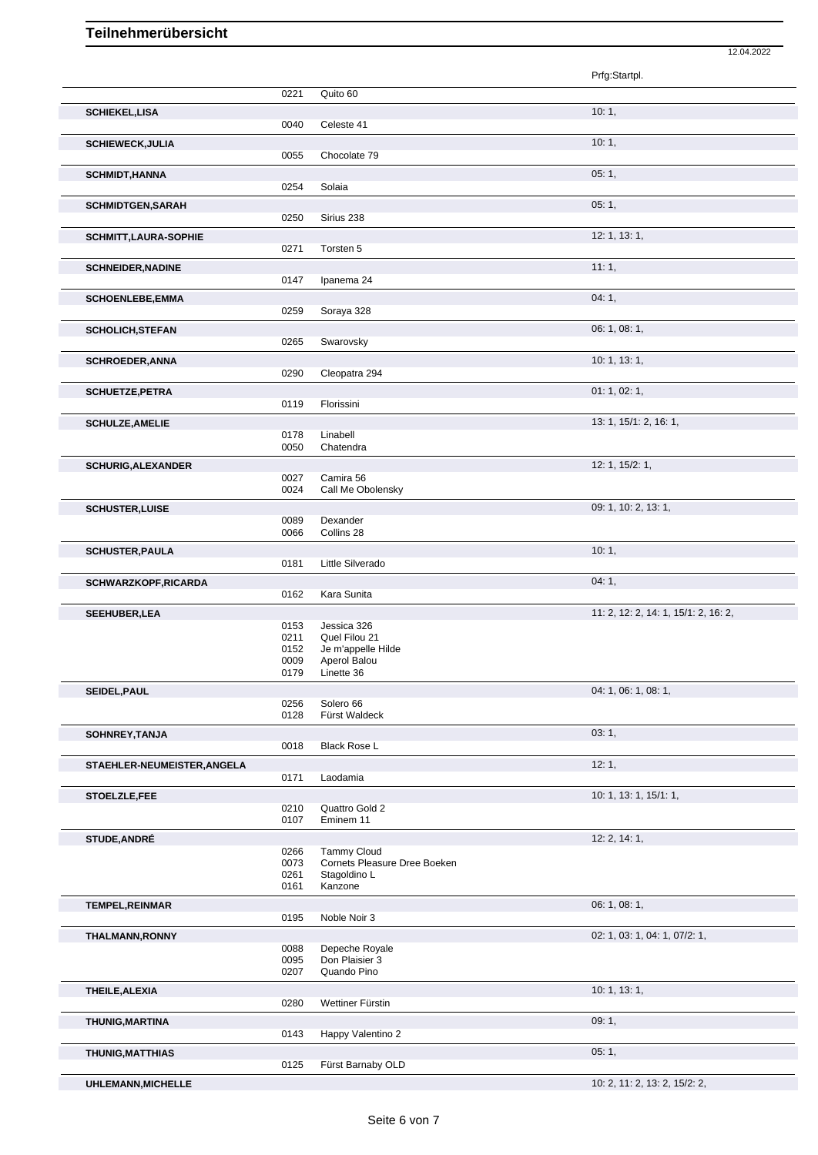## **Teilnehmerübersicht**

|                             |              |                                  | 12.04.2022                           |
|-----------------------------|--------------|----------------------------------|--------------------------------------|
|                             |              |                                  | Prfg:Startpl.                        |
|                             | 0221         | Quito 60                         |                                      |
| <b>SCHIEKEL,LISA</b>        |              |                                  | 10:1,                                |
|                             | 0040         | Celeste 41                       |                                      |
| <b>SCHIEWECK, JULIA</b>     | 0055         | Chocolate 79                     | 10:1,                                |
| <b>SCHMIDT, HANNA</b>       |              |                                  | 05:1,                                |
|                             | 0254         | Solaia                           |                                      |
| <b>SCHMIDTGEN, SARAH</b>    | 0250         | Sirius 238                       | 05:1,                                |
| SCHMITT, LAURA-SOPHIE       |              |                                  | 12: 1, 13: 1,                        |
|                             | 0271         | Torsten 5                        |                                      |
| <b>SCHNEIDER, NADINE</b>    |              |                                  | 11:1,                                |
|                             | 0147         | Ipanema 24                       |                                      |
| <b>SCHOENLEBE,EMMA</b>      | 0259         | Soraya 328                       | 04:1,                                |
| <b>SCHOLICH, STEFAN</b>     |              |                                  | 06: 1, 08: 1,                        |
|                             | 0265         | Swarovsky                        |                                      |
| <b>SCHROEDER, ANNA</b>      | 0290         | Cleopatra 294                    | 10: 1, 13: 1,                        |
|                             |              |                                  | 01: 1, 02: 1,                        |
| <b>SCHUETZE, PETRA</b>      | 0119         | Florissini                       |                                      |
| <b>SCHULZE, AMELIE</b>      |              |                                  | 13: 1, 15/1: 2, 16: 1,               |
|                             | 0178<br>0050 | Linabell<br>Chatendra            |                                      |
| <b>SCHURIG, ALEXANDER</b>   |              |                                  | 12: 1, 15/2: 1,                      |
|                             | 0027         | Camira 56                        |                                      |
|                             | 0024         | Call Me Obolensky                |                                      |
| <b>SCHUSTER, LUISE</b>      | 0089         | Dexander                         | 09: 1, 10: 2, 13: 1,                 |
|                             | 0066         | Collins 28                       |                                      |
| <b>SCHUSTER, PAULA</b>      |              |                                  | 10:1,                                |
|                             | 0181         | Little Silverado                 |                                      |
| <b>SCHWARZKOPF, RICARDA</b> | 0162         | Kara Sunita                      | 04:1,                                |
| SEEHUBER, LEA               |              |                                  | 11: 2, 12: 2, 14: 1, 15/1: 2, 16: 2, |
|                             | 0153<br>0211 | Jessica 326<br>Quel Filou 21     |                                      |
|                             | 0152         | Je m'appelle Hilde               |                                      |
|                             | 0009<br>0179 | Aperol Balou<br>Linette 36       |                                      |
| SEIDEL, PAUL                |              |                                  | 04: 1, 06: 1, 08: 1,                 |
|                             | 0256<br>0128 | Solero 66<br>Fürst Waldeck       |                                      |
| SOHNREY, TANJA              |              |                                  | 03:1,                                |
|                             | 0018         | <b>Black Rose L</b>              |                                      |
| STAEHLER-NEUMEISTER, ANGELA |              |                                  | 12:1,                                |
|                             | 0171         | Laodamia                         |                                      |
| STOELZLE,FEE                | 0210         | Quattro Gold 2                   | 10: 1, 13: 1, 15/1: 1,               |
|                             | 0107         | Eminem 11                        |                                      |
| <b>STUDE, ANDRÉ</b>         |              | <b>Tammy Cloud</b>               | 12: 2, 14: 1,                        |
|                             | 0266<br>0073 | Cornets Pleasure Dree Boeken     |                                      |
|                             | 0261<br>0161 | Stagoldino L<br>Kanzone          |                                      |
| <b>TEMPEL, REINMAR</b>      |              |                                  | 06: 1, 08: 1,                        |
|                             | 0195         | Noble Noir 3                     |                                      |
| THALMANN, RONNY             |              |                                  | 02: 1, 03: 1, 04: 1, 07/2: 1,        |
|                             | 0088<br>0095 | Depeche Royale<br>Don Plaisier 3 |                                      |
|                             | 0207         | Quando Pino                      |                                      |
| THEILE, ALEXIA              | 0280         | Wettiner Fürstin                 | 10: 1, 13: 1,                        |
| <b>THUNIG, MARTINA</b>      |              |                                  | 09:1,                                |
|                             | 0143         | Happy Valentino 2                |                                      |
| THUNIG, MATTHIAS            |              |                                  | 05:1,                                |
|                             | 0125         | Fürst Barnaby OLD                |                                      |
| UHLEMANN, MICHELLE          |              |                                  | 10: 2, 11: 2, 13: 2, 15/2: 2,        |